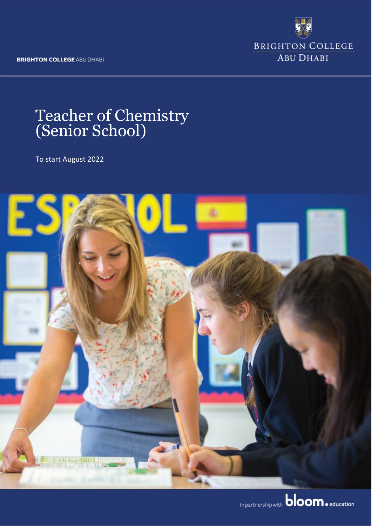**BRIGHTON COLLEGE ABU DHABI** 

**BRIGHTON COLLEGE ABU DHABI** 

# Teacher of Chemistry (Senior School)

To start August 2022



In partnership with **bloom.** education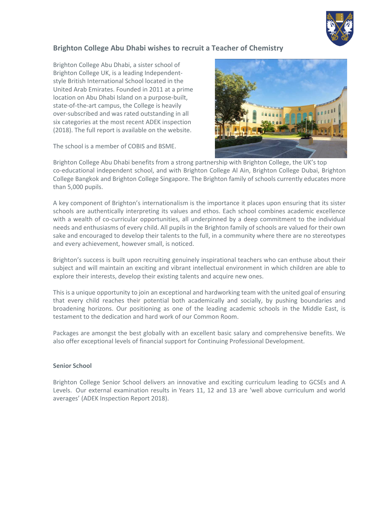

#### **Brighton College Abu Dhabi wishes to recruit a Teacher of Chemistry**

Brighton College Abu Dhabi, a sister school of Brighton College UK, is a leading Independentstyle British International School located in the United Arab Emirates. Founded in 2011 at a prime location on Abu Dhabi Island on a purpose-built, state-of-the-art campus, the College is heavily over-subscribed and was rated outstanding in all six categories at the most recent ADEK inspection (2018). The full report is available on the website.

The school is a member of COBIS and BSME.



Brighton College Abu Dhabi benefits from a strong partnership with Brighton College, the UK's top co-educational independent school, and with Brighton College Al Ain, Brighton College Dubai, Brighton College Bangkok and Brighton College Singapore. The Brighton family of schools currently educates more than 5,000 pupils.

A key component of Brighton's internationalism is the importance it places upon ensuring that its sister schools are authentically interpreting its values and ethos. Each school combines academic excellence with a wealth of co-curricular opportunities, all underpinned by a deep commitment to the individual needs and enthusiasms of every child. All pupils in the Brighton family of schools are valued for their own sake and encouraged to develop their talents to the full, in a community where there are no stereotypes and every achievement, however small, is noticed.

Brighton's success is built upon recruiting genuinely inspirational teachers who can enthuse about their subject and will maintain an exciting and vibrant intellectual environment in which children are able to explore their interests, develop their existing talents and acquire new ones.

This is a unique opportunity to join an exceptional and hardworking team with the united goal of ensuring that every child reaches their potential both academically and socially, by pushing boundaries and broadening horizons. Our positioning as one of the leading academic schools in the Middle East, is testament to the dedication and hard work of our Common Room.

Packages are amongst the best globally with an excellent basic salary and comprehensive benefits. We also offer exceptional levels of financial support for Continuing Professional Development.

#### **Senior School**

Brighton College Senior School delivers an innovative and exciting curriculum leading to GCSEs and A Levels. Our external examination results in Years 11, 12 and 13 are 'well above curriculum and world averages' (ADEK Inspection Report 2018).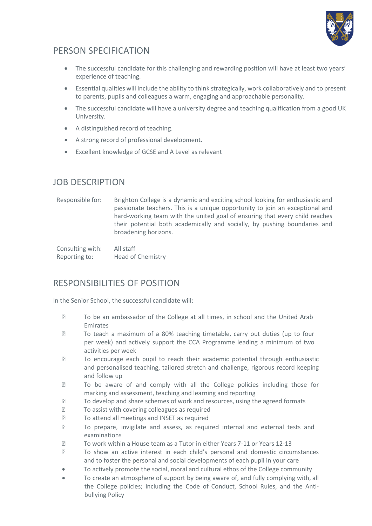

# PERSON SPECIFICATION

- The successful candidate for this challenging and rewarding position will have at least two years' experience of teaching.
- Essential qualities will include the ability to think strategically, work collaboratively and to present to parents, pupils and colleagues a warm, engaging and approachable personality.
- The successful candidate will have a university degree and teaching qualification from a good UK University.
- A distinguished record of teaching.
- A strong record of professional development.
- Excellent knowledge of GCSE and A Level as relevant

## JOB DESCRIPTION

Responsible for: Brighton College is a dynamic and exciting school looking for enthusiastic and passionate teachers. This is a unique opportunity to join an exceptional and hard-working team with the united goal of ensuring that every child reaches their potential both academically and socially, by pushing boundaries and broadening horizons.

Consulting with: All staff Reporting to: Head of Chemistry

## RESPONSIBILITIES OF POSITION

In the Senior School, the successful candidate will:

- To be an ambassador of the College at all times, in school and the United Arab Emirates
- To teach a maximum of a 80% teaching timetable, carry out duties (up to four per week) and actively support the CCA Programme leading a minimum of two activities per week
- To encourage each pupil to reach their academic potential through enthusiastic and personalised teaching, tailored stretch and challenge, rigorous record keeping and follow up
- **To be aware of and comply with all the College policies including those for** marking and assessment, teaching and learning and reporting
- To develop and share schemes of work and resources, using the agreed formats
- To assist with covering colleagues as required
- **To attend all meetings and INSET as required**
- To prepare, invigilate and assess, as required internal and external tests and examinations
- To work within a House team as a Tutor in either Years 7-11 or Years 12-13
- To show an active interest in each child's personal and domestic circumstances and to foster the personal and social developments of each pupil in your care
- To actively promote the social, moral and cultural ethos of the College community
- To create an atmosphere of support by being aware of, and fully complying with, all the College policies; including the Code of Conduct, School Rules, and the Antibullying Policy